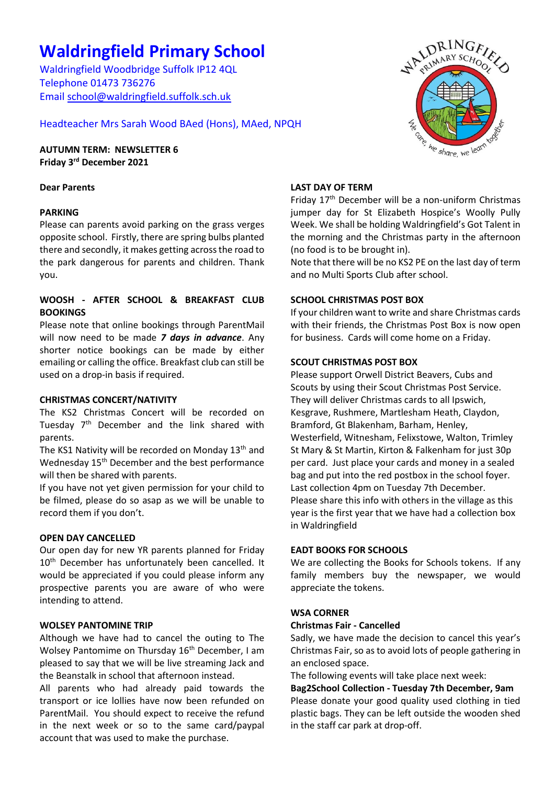# **Waldringfield Primary School**

Waldringfield Woodbridge Suffolk IP12 4QL Telephone 01473 736276 Email [school@waldringfield.suffolk.sch.uk](mailto:school@waldringfield.suffolk.sch.uk)

Headteacher Mrs Sarah Wood BAed (Hons), MAed, NPQH

**AUTUMN TERM: NEWSLETTER 6 Friday 3 rd December 2021**

#### **Dear Parents**

#### **PARKING**

Please can parents avoid parking on the grass verges opposite school. Firstly, there are spring bulbs planted there and secondly, it makes getting across the road to the park dangerous for parents and children. Thank you.

#### **WOOSH - AFTER SCHOOL & BREAKFAST CLUB BOOKINGS**

Please note that online bookings through ParentMail will now need to be made *7 days in advance*. Any shorter notice bookings can be made by either emailing or calling the office. Breakfast club can still be used on a drop-in basis if required.

#### **CHRISTMAS CONCERT/NATIVITY**

The KS2 Christmas Concert will be recorded on Tuesday  $7<sup>th</sup>$  December and the link shared with parents.

The KS1 Nativity will be recorded on Monday 13<sup>th</sup> and Wednesday 15<sup>th</sup> December and the best performance will then be shared with parents.

If you have not yet given permission for your child to be filmed, please do so asap as we will be unable to record them if you don't.

## **OPEN DAY CANCELLED**

Our open day for new YR parents planned for Friday 10<sup>th</sup> December has unfortunately been cancelled. It would be appreciated if you could please inform any prospective parents you are aware of who were intending to attend.

#### **WOLSEY PANTOMINE TRIP**

Although we have had to cancel the outing to The Wolsey Pantomime on Thursday 16<sup>th</sup> December, I am pleased to say that we will be live streaming Jack and the Beanstalk in school that afternoon instead.

All parents who had already paid towards the transport or ice lollies have now been refunded on ParentMail. You should expect to receive the refund in the next week or so to the same card/paypal account that was used to make the purchase.



#### **LAST DAY OF TERM**

Friday 17<sup>th</sup> December will be a non-uniform Christmas jumper day for St Elizabeth Hospice's Woolly Pully Week. We shall be holding Waldringfield's Got Talent in the morning and the Christmas party in the afternoon (no food is to be brought in).

Note that there will be no KS2 PE on the last day of term and no Multi Sports Club after school.

#### **SCHOOL CHRISTMAS POST BOX**

If your children want to write and share Christmas cards with their friends, the Christmas Post Box is now open for business. Cards will come home on a Friday.

#### **SCOUT CHRISTMAS POST BOX**

Please support Orwell District Beavers, Cubs and Scouts by using their Scout Christmas Post Service. They will deliver Christmas cards to all Ipswich, Kesgrave, Rushmere, Martlesham Heath, Claydon, Bramford, Gt Blakenham, Barham, Henley, Westerfield, Witnesham, Felixstowe, Walton, Trimley St Mary & St Martin, Kirton & Falkenham for just 30p per card. Just place your cards and money in a sealed bag and put into the red postbox in the school foyer. Last collection 4pm on Tuesday 7th December. Please share this info with others in the village as this year is the first year that we have had a collection box in Waldringfield

#### **EADT BOOKS FOR SCHOOLS**

We are collecting the Books for Schools tokens. If any family members buy the newspaper, we would appreciate the tokens.

#### **WSA CORNER**

#### **Christmas Fair - Cancelled**

Sadly, we have made the decision to cancel this year's Christmas Fair, so as to avoid lots of people gathering in an enclosed space.

The following events will take place next week:

**Bag2School Collection - Tuesday 7th December, 9am** Please donate your good quality used clothing in tied plastic bags. They can be left outside the wooden shed in the staff car park at drop-off.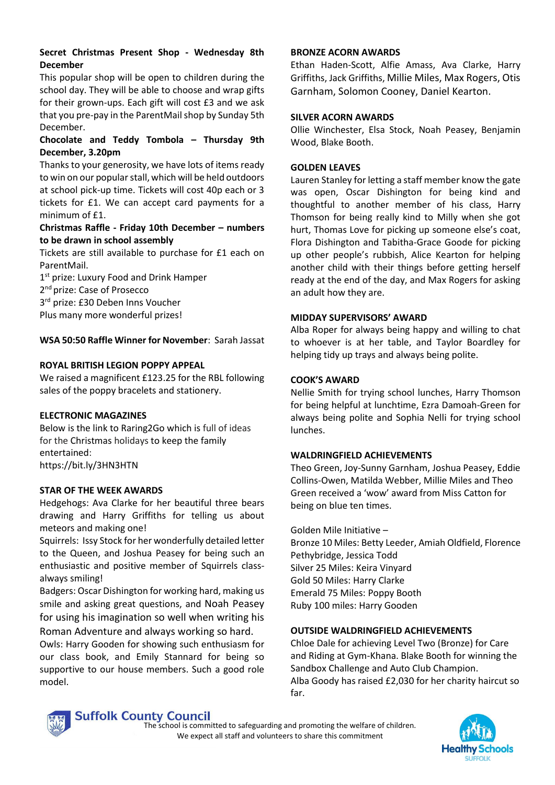## **Secret Christmas Present Shop - Wednesday 8th December**

This popular shop will be open to children during the school day. They will be able to choose and wrap gifts for their grown-ups. Each gift will cost £3 and we ask that you pre-pay in the ParentMail shop by Sunday 5th December.

## **Chocolate and Teddy Tombola – Thursday 9th December, 3.20pm**

Thanks to your generosity, we have lots of items ready to win on our popular stall, which will be held outdoors at school pick-up time. Tickets will cost 40p each or 3 tickets for £1. We can accept card payments for a minimum of £1.

## **Christmas Raffle - Friday 10th December – numbers to be drawn in school assembly**

Tickets are still available to purchase for £1 each on ParentMail.

1<sup>st</sup> prize: Luxury Food and Drink Hamper 2<sup>nd</sup> prize: Case of Prosecco 3<sup>rd</sup> prize: £30 Deben Inns Voucher

Plus many more wonderful prizes!

**WSA 50:50 Raffle Winner for November**: Sarah Jassat

# **ROYAL BRITISH LEGION POPPY APPEAL**

We raised a magnificent £123.25 for the RBL following sales of the poppy bracelets and stationery.

# **ELECTRONIC MAGAZINES**

Below is the link to Raring2Go which is full of ideas for the Christmas holidays to keep the family entertained: https://bit.ly/3HN3HTN

## **STAR OF THE WEEK AWARDS**

Hedgehogs: Ava Clarke for her beautiful three bears drawing and Harry Griffiths for telling us about meteors and making one!

Squirrels: Issy Stock for her wonderfully detailed letter to the Queen, and Joshua Peasey for being such an enthusiastic and positive member of Squirrels classalways smiling!

Badgers: Oscar Dishington for working hard, making us smile and asking great questions, and Noah Peasey for using his imagination so well when writing his Roman Adventure and always working so hard.

Owls: Harry Gooden for showing such enthusiasm for our class book, and Emily Stannard for being so supportive to our house members. Such a good role model.

## **BRONZE ACORN AWARDS**

Ethan Haden-Scott, Alfie Amass, Ava Clarke, Harry Griffiths, Jack Griffiths, Millie Miles, Max Rogers, Otis Garnham, Solomon Cooney, Daniel Kearton.

## **SILVER ACORN AWARDS**

Ollie Winchester, Elsa Stock, Noah Peasey, Benjamin Wood, Blake Booth.

## **GOLDEN LEAVES**

Lauren Stanley for letting a staff member know the gate was open, Oscar Dishington for being kind and thoughtful to another member of his class, Harry Thomson for being really kind to Milly when she got hurt, Thomas Love for picking up someone else's coat, Flora Dishington and Tabitha-Grace Goode for picking up other people's rubbish, Alice Kearton for helping another child with their things before getting herself ready at the end of the day, and Max Rogers for asking an adult how they are.

## **MIDDAY SUPERVISORS' AWARD**

Alba Roper for always being happy and willing to chat to whoever is at her table, and Taylor Boardley for helping tidy up trays and always being polite.

## **COOK'S AWARD**

Nellie Smith for trying school lunches, Harry Thomson for being helpful at lunchtime, Ezra Damoah-Green for always being polite and Sophia Nelli for trying school lunches.

## **WALDRINGFIELD ACHIEVEMENTS**

Theo Green, Joy-Sunny Garnham, Joshua Peasey, Eddie Collins-Owen, Matilda Webber, Millie Miles and Theo Green received a 'wow' award from Miss Catton for being on blue ten times.

Golden Mile Initiative –

Bronze 10 Miles: Betty Leeder, Amiah Oldfield, Florence Pethybridge, Jessica Todd Silver 25 Miles: Keira Vinyard Gold 50 Miles: Harry Clarke Emerald 75 Miles: Poppy Booth Ruby 100 miles: Harry Gooden

## **OUTSIDE WALDRINGFIELD ACHIEVEMENTS**

Chloe Dale for achieving Level Two (Bronze) for Care and Riding at Gym-Khana. Blake Booth for winning the Sandbox Challenge and Auto Club Champion. Alba Goody has raised £2,030 for her charity haircut so far.



# **Suffolk County Council**

The school is committed to safeguarding and promoting the welfare of children. We expect all staff and volunteers to share this commitment